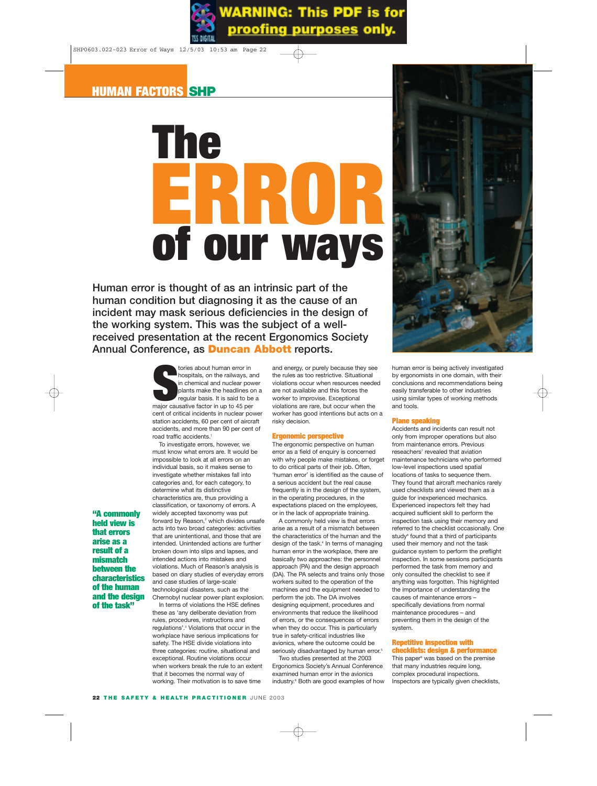# **of our ways ERROR The**

**Human error is thought of as an intrinsic part of the human condition but diagnosing it as the cause of an incident may mask serious deficiencies in the design of the working system. This was the subject of a wellreceived presentation at the recent Ergonomics Society Annual Conference, as Duncan Abbott reports.**



To investigate errors, however, we must know what errors are. It would be impossible to look at all errors on an individual basis, so it makes sense to investigate whether mistakes fall into categories and, for each category, to determine what its distinctive characteristics are, thus providing a classification, or taxonomy of errors. A widely accepted taxonomy was put forward by Reason, $2$  which divides unsafe acts into two broad categories: activities that are unintentional, and those that are intended. Unintended actions are further broken down into slips and lapses, and intended actions into mistakes and violations. Much of Reason's analysis is based on diary studies of everyday errors and case studies of large-scale technological disasters, such as the Chernobyl nuclear power plant explosion.

In terms of violations the HSE defines these as 'any deliberate deviation from rules, procedures, instructions and regulations'.3 Violations that occur in the workplace have serious implications for safety. The HSE divide violations into three categories: routine, situational and exceptional. Routine violations occur when workers break the rule to an extent that it becomes the normal way of working. Their motivation is to save time

and energy, or purely because they see the rules as too restrictive. Situational violations occur when resources needed are not available and this forces the worker to improvise. Exceptional violations are rare, but occur when the worker has good intentions but acts on a risky decision.

# **Ergonomic perspective**

The ergonomic perspective on human error as a field of enquiry is concerned with why people make mistakes, or forget to do critical parts of their job. Often, 'human error' is identified as the cause of a serious accident but the real cause frequently is in the design of the system, in the operating procedures, in the expectations placed on the employees, or in the lack of appropriate training.

A commonly held view is that errors arise as a result of a mismatch between the characteristics of the human and the design of the task.<sup>4</sup> In terms of managing human error in the workplace, there are basically two approaches: the personnel approach (PA) and the design approach (DA). The PA selects and trains only those workers suited to the operation of the machines and the equipment needed to perform the job. The DA involves designing equipment, procedures and environments that reduce the likelihood of errors, or the consequences of errors when they do occur. This is particularly true in safety-critical industries like avionics, where the outcome could be seriously disadvantaged by human error.<sup>5</sup>

Two studies presented at the 2003 Ergonomics Society's Annual Conference examined human error in the avionics industry.<sup>6</sup> Both are good examples of how



human error is being actively investigated by ergonomists in one domain, with their conclusions and recommendations being easily transferable to other industries using similar types of working methods and tools.

# **Plane speaking**

Accidents and incidents can result not only from improper operations but also from maintenance errors. Previous reseachers<sup>7</sup> revealed that aviation maintenance technicians who performed low-level inspections used spatial locations of tasks to sequence them. They found that aircraft mechanics rarely used checklists and viewed them as a guide for inexperienced mechanics. Experienced inspectors felt they had acquired sufficient skill to perform the inspection task using their memory and referred to the checklist occasionally. One study<sup>8</sup> found that a third of participants used their memory and not the task guidance system to perform the preflight inspection. In some sessions participants performed the task from memory and only consulted the checklist to see if anything was forgotten. This highlighted the importance of understanding the causes of maintenance errors – specifically deviations from normal maintenance procedures – and preventing them in the design of the system.

## **Repetitive inspection with checklists: design & performance**

This paper<sup>9</sup> was based on the premise that many industries require long, complex procedural inspections. Inspectors are typically given checklists,

# **"A commonly held view is that errors arise as a result of a mismatch between the characteristics of the human and the design of the task"**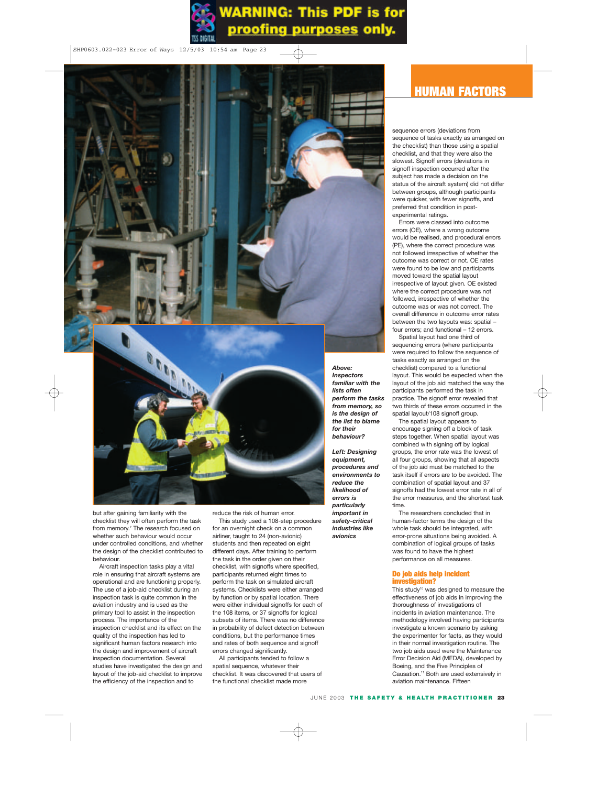

sequence errors (deviations from sequence of tasks exactly as arranged on the checklist) than those using a spatial checklist, and that they were also the slowest. Signoff errors (deviations in signoff inspection occurred after the subject has made a decision on the status of the aircraft system) did not differ between groups, although participants were quicker, with fewer signoffs, and preferred that condition in postexperimental ratings.

Errors were classed into outcome errors (OE), where a wrong outcome would be realised, and procedural errors (PE), where the correct procedure was not followed irrespective of whether the outcome was correct or not. OE rates were found to be low and participants moved toward the spatial layout irrespective of layout given. OE existed where the correct procedure was not followed, irrespective of whether the outcome was or was not correct. The overall difference in outcome error rates between the two layouts was: spatial – four errors; and functional – 12 errors.

Spatial layout had one third of sequencing errors (where participants were required to follow the sequence of tasks exactly as arranged on the checklist) compared to a functional layout. This would be expected when the layout of the job aid matched the way the participants performed the task in practice. The signoff error revealed that two thirds of these errors occurred in the spatial layout/108 signoff group.

The spatial layout appears to encourage signing off a block of task steps together. When spatial layout was combined with signing off by logical groups, the error rate was the lowest of all four groups, showing that all aspects of the job aid must be matched to the task itself if errors are to be avoided. The combination of spatial layout and 37 signoffs had the lowest error rate in all of the error measures, and the shortest task time.

The researchers concluded that in human-factor terms the design of the whole task should be integrated, with error-prone situations being avoided. A combination of logical groups of tasks was found to have the highest performance on all measures.

# **Do job aids help incident investigation?**

This study<sup>10</sup> was designed to measure the effectiveness of job aids in improving the thoroughness of investigations of incidents in aviation maintenance. The methodology involved having participants investigate a known scenario by asking the experimenter for facts, as they would in their normal investigation routine. The two job aids used were the Maintenance Error Decision Aid (MEDA), developed by Boeing, and the Five Principles of Causation.11 Both are used extensively in aviation maintenance. Fifteen

but after gaining familiarity with the checklist they will often perform the task from memory.<sup>7</sup> The research focused on whether such behaviour would occur under controlled conditions, and whether the design of the checklist contributed to behaviour.

Aircraft inspection tasks play a vital role in ensuring that aircraft systems are operational and are functioning properly. The use of a job-aid checklist during an inspection task is quite common in the aviation industry and is used as the primary tool to assist in the inspection process. The importance of the inspection checklist and its effect on the quality of the inspection has led to significant human factors research into the design and improvement of aircraft inspection documentation. Several studies have investigated the design and layout of the job-aid checklist to improve the efficiency of the inspection and to

reduce the risk of human error.

This study used a 108-step procedure for an overnight check on a common airliner, taught to 24 (non-avionic) students and then repeated on eight different days. After training to perform the task in the order given on their checklist, with signoffs where specified, participants returned eight times to perform the task on simulated aircraft systems. Checklists were either arranged by function or by spatial location. There were either individual signoffs for each of the 108 items, or 37 signoffs for logical subsets of items. There was no difference in probability of defect detection between conditions, but the performance times and rates of both sequence and signoff errors changed significantly.

All participants tended to follow a spatial sequence, whatever their checklist. It was discovered that users of the functional checklist made more

*Above: Inspectors familiar with the lists often perform the tasks from memory, so is the design of the list to blame for their behaviour?*

*Left: Designing equipment, procedures and environments to reduce the likelihood of errors is particularly important in safety-critical industries like avionics*